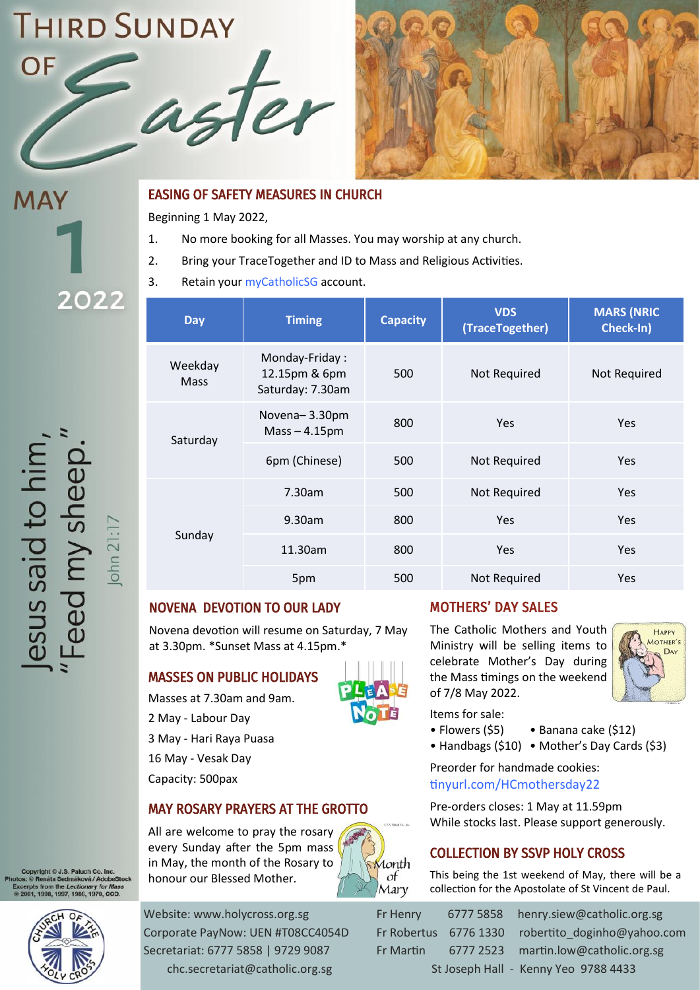# **THIRD SUNDAY**





# **MAY** 2022

esus said to him,<br>Feed my sheep."

 $\boxed{\text{ohn } 21:17}$ 

#### EASING OF SAFETY MEASURES IN CHURCH

Beginning 1 May 2022,

- 1. No more booking for all Masses. You may worship at any church.
- 2. Bring your TraceTogether and ID to Mass and Religious Activities.
- 3. Retain your [myCatholicSG](https://mycatholic.sg/home) account.

| <b>Day</b>      | <b>Timing</b>                                       | <b>Capacity</b> | <b>VDS</b><br>(TraceTogether) | <b>MARS (NRIC)</b><br>Check-In) |
|-----------------|-----------------------------------------------------|-----------------|-------------------------------|---------------------------------|
| Weekday<br>Mass | Monday-Friday:<br>12.15pm & 6pm<br>Saturday: 7.30am | 500             | Not Required                  | Not Required                    |
| Saturday        | Novena-3.30pm<br>$Mass - 4.15pm$                    | 800             | Yes                           | <b>Yes</b>                      |
|                 | 6pm (Chinese)                                       | 500             | Not Required                  | <b>Yes</b>                      |
| Sunday          | 7.30am                                              | 500             | Not Required                  | Yes                             |
|                 | 9.30am                                              | 800             | <b>Yes</b>                    | Yes                             |
|                 | 11.30am                                             | 800             | <b>Yes</b>                    | <b>Yes</b>                      |
|                 | 5pm                                                 | 500             | Not Required                  | <b>Yes</b>                      |

# NOVENA DEVOTION TO OUR LADY

Novena devotion will resume on Saturday, 7 May at 3.30pm. \*Sunset Mass at 4.15pm.\*

# MASSES ON PUBLIC HOLIDAYS

- Masses at 7.30am and 9am.
- 2 May Labour Day
- 3 May Hari Raya Puasa
- 16 May Vesak Day
- Capacity: 500pax

# MAY ROSARY PRAYERS AT THE GROTTO

All are welcome to pray the rosary every Sunday after the 5pm mass in May, the month of the Rosary to honour our Blessed Mother.



The Catholic Mothers and Youth Ministry will be selling items to celebrate Mother's Day during

MOTHERS' DAY SALES

**HAPPY** MOTHER'S DAY

Items for sale:

- Flowers (\$5) Banana cake (\$12)
- Handbags (\$10) Mother's Day Cards (\$3)

Preorder for handmade cookies: [tinyurl.com/HCmothersday22](https://tinyurl.com/HCmothersday22)

Pre-orders closes: 1 May at 11.59pm While stocks last. Please support generously.

# COLLECTION BY SSVP HOLY CROSS

This being the 1st weekend of May, there will be a collection for the Apostolate of St Vincent de Paul.

áková / AdobeStocl ectionary for Mas.<br>, 1986, 1970, CCD.

> Website: www.holycross.org.sg Fr Henry 6777 5858 henry.siew@catholic.org.sg Corporate PayNow: UEN #T08CC4054D Fr Robertus 6776 1330 robertito doginho@yahoo.com Secretariat: 6777 5858 | 9729 9087 Fr Martin 6777 2523 martin.low@catholic.org.sg chc.secretariat@catholic.org.sg St Joseph Hall - Kenny Yeo 9788 4433